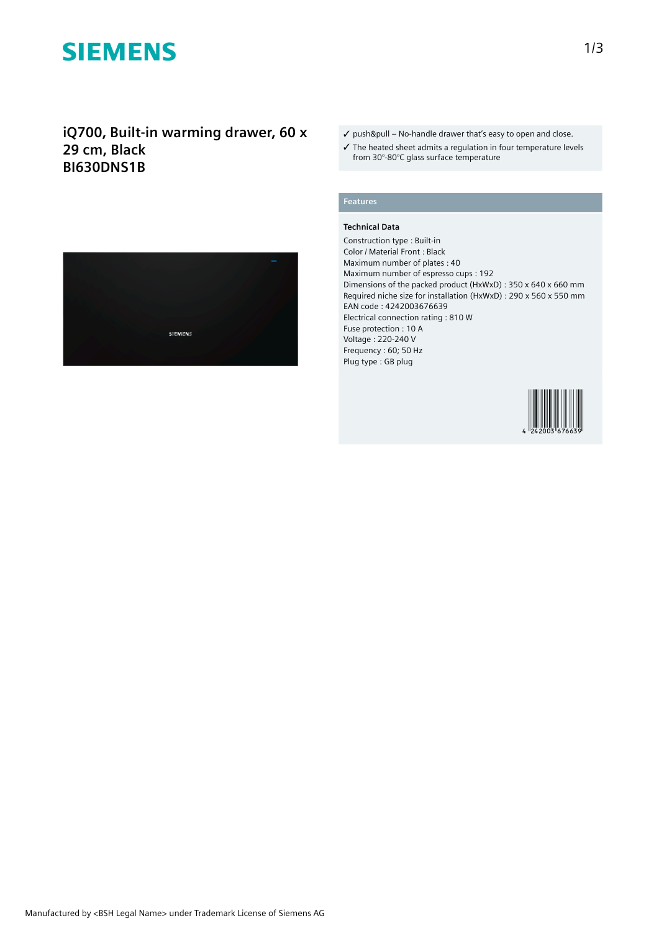# **SIEMENS**

# **iQ700, Built-in warming drawer, 60 x 29 cm, Black BI630DNS1B**



- ✓ push&pull No-handle drawer that's easy to open and close.
- ✓ The heated sheet admits a regulation in four temperature levels from 30°-80°C glass surface temperature

## **Features**

### **Technical Data**

Construction type : Built-in Color / Material Front : Black Maximum number of plates : 40 Maximum number of espresso cups : 192 Dimensions of the packed product (HxWxD) : 350 x 640 x 660 mm Required niche size for installation (HxWxD) : 290 x 560 x 550 mm EAN code : 4242003676639 Electrical connection rating : 810 W Fuse protection : 10 A Voltage : 220-240 V Frequency : 60; 50 Hz Plug type : GB plug

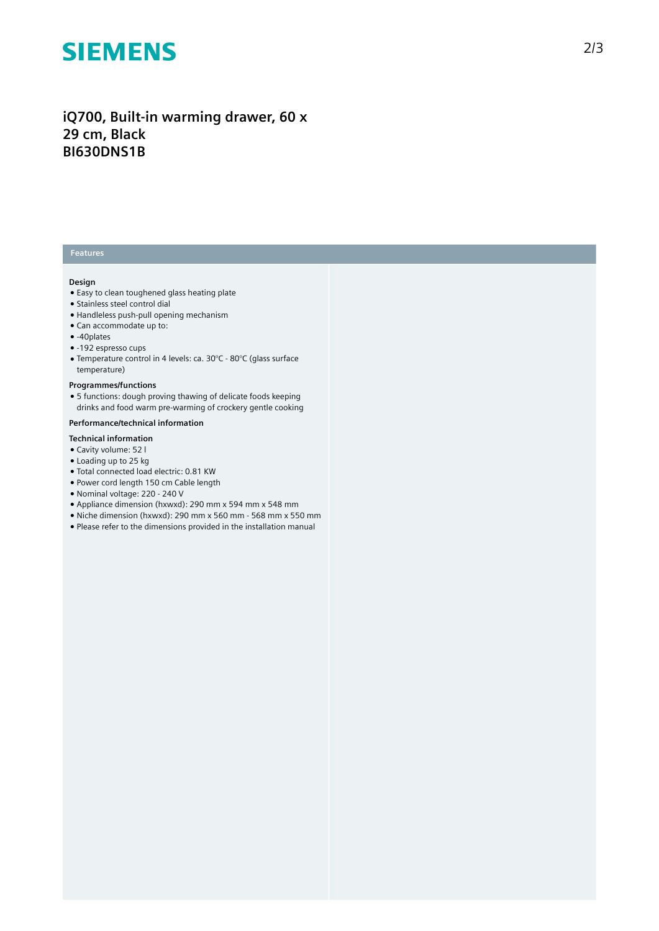# **SIEMENS**

## **iQ700, Built-in warming drawer, 60 x 29 cm, Black BI630DNS1B**

## **Features**

#### **Design**

- Easy to clean toughened glass heating plate
- Stainless steel control dial
- Handleless push-pull opening mechanism
- Can accommodate up to:
- -40plates
- -192 espresso cups
- Temperature control in 4 levels: ca. 30°C 80°C (glass surface temperature)

### **Programmes/functions**

● 5 functions: dough proving thawing of delicate foods keeping drinks and food warm pre-warming of crockery gentle cooking

### **Performance/technical information**

#### **Technical information**

- Cavity volume: 52 l
- Loading up to 25 kg
- Total connected load electric: 0.81 KW
- Power cord length 150 cm Cable length
- Nominal voltage: 220 240 V
- Appliance dimension (hxwxd): 290 mm x 594 mm x 548 mm
- Niche dimension (hxwxd): 290 mm x 560 mm 568 mm x 550 mm
- Please refer to the dimensions provided in the installation manual